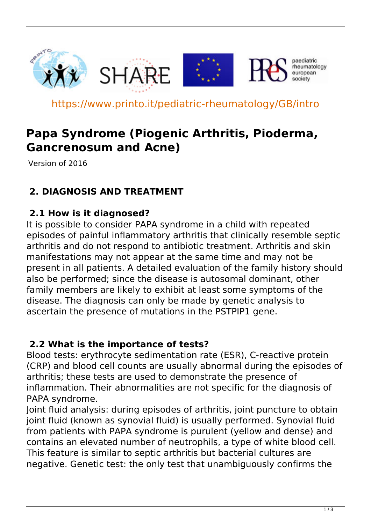

https://www.printo.it/pediatric-rheumatology/GB/intro

# **Papa Syndrome (Piogenic Arthritis, Pioderma, Gancrenosum and Acne)**

Version of 2016

## **2. DIAGNOSIS AND TREATMENT**

#### **2.1 How is it diagnosed?**

It is possible to consider PAPA syndrome in a child with repeated episodes of painful inflammatory arthritis that clinically resemble septic arthritis and do not respond to antibiotic treatment. Arthritis and skin manifestations may not appear at the same time and may not be present in all patients. A detailed evaluation of the family history should also be performed; since the disease is autosomal dominant, other family members are likely to exhibit at least some symptoms of the disease. The diagnosis can only be made by genetic analysis to ascertain the presence of mutations in the PSTPIP1 gene.

#### **2.2 What is the importance of tests?**

Blood tests: erythrocyte sedimentation rate (ESR), C-reactive protein (CRP) and blood cell counts are usually abnormal during the episodes of arthritis; these tests are used to demonstrate the presence of inflammation. Their abnormalities are not specific for the diagnosis of PAPA syndrome.

Joint fluid analysis: during episodes of arthritis, joint puncture to obtain joint fluid (known as synovial fluid) is usually performed. Synovial fluid from patients with PAPA syndrome is purulent (yellow and dense) and contains an elevated number of neutrophils, a type of white blood cell. This feature is similar to septic arthritis but bacterial cultures are negative. Genetic test: the only test that unambiguously confirms the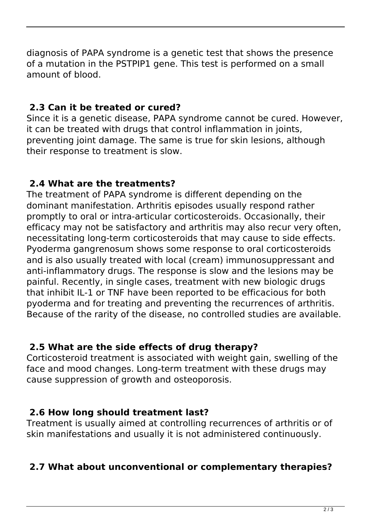diagnosis of PAPA syndrome is a genetic test that shows the presence of a mutation in the PSTPIP1 gene. This test is performed on a small amount of blood.

# **2.3 Can it be treated or cured?**

Since it is a genetic disease, PAPA syndrome cannot be cured. However, it can be treated with drugs that control inflammation in joints, preventing joint damage. The same is true for skin lesions, although their response to treatment is slow.

# **2.4 What are the treatments?**

The treatment of PAPA syndrome is different depending on the dominant manifestation. Arthritis episodes usually respond rather promptly to oral or intra-articular corticosteroids. Occasionally, their efficacy may not be satisfactory and arthritis may also recur very often, necessitating long-term corticosteroids that may cause to side effects. Pyoderma gangrenosum shows some response to oral corticosteroids and is also usually treated with local (cream) immunosuppressant and anti-inflammatory drugs. The response is slow and the lesions may be painful. Recently, in single cases, treatment with new biologic drugs that inhibit IL-1 or TNF have been reported to be efficacious for both pyoderma and for treating and preventing the recurrences of arthritis. Because of the rarity of the disease, no controlled studies are available.

## **2.5 What are the side effects of drug therapy?**

Corticosteroid treatment is associated with weight gain, swelling of the face and mood changes. Long-term treatment with these drugs may cause suppression of growth and osteoporosis.

## **2.6 How long should treatment last?**

Treatment is usually aimed at controlling recurrences of arthritis or of skin manifestations and usually it is not administered continuously.

## **2.7 What about unconventional or complementary therapies?**